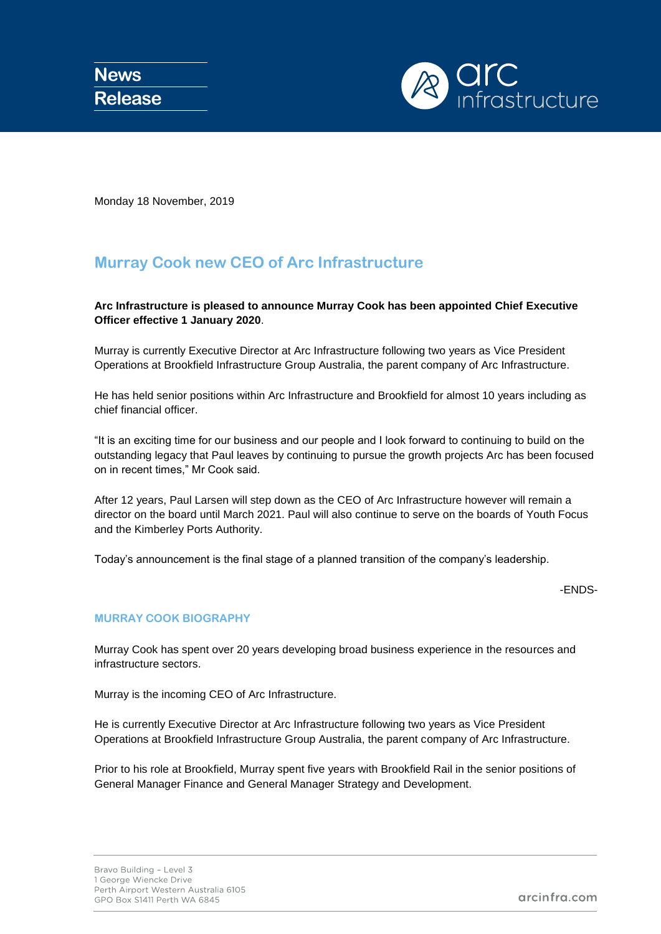

Monday 18 November, 2019

# **Murray Cook new CEO of Arc Infrastructure**

## **Arc Infrastructure is pleased to announce Murray Cook has been appointed Chief Executive Officer effective 1 January 2020**.

Murray is currently Executive Director at Arc Infrastructure following two years as Vice President Operations at Brookfield Infrastructure Group Australia, the parent company of Arc Infrastructure.

He has held senior positions within Arc Infrastructure and Brookfield for almost 10 years including as chief financial officer.

"It is an exciting time for our business and our people and I look forward to continuing to build on the outstanding legacy that Paul leaves by continuing to pursue the growth projects Arc has been focused on in recent times," Mr Cook said.

After 12 years, Paul Larsen will step down as the CEO of Arc Infrastructure however will remain a director on the board until March 2021. Paul will also continue to serve on the boards of Youth Focus and the Kimberley Ports Authority.

Today's announcement is the final stage of a planned transition of the company's leadership.

-ENDS-

### **MURRAY COOK BIOGRAPHY**

Murray Cook has spent over 20 years developing broad business experience in the resources and infrastructure sectors.

Murray is the incoming CEO of Arc Infrastructure.

He is currently Executive Director at Arc Infrastructure following two years as Vice President Operations at Brookfield Infrastructure Group Australia, the parent company of Arc Infrastructure.

Prior to his role at Brookfield, Murray spent five years with Brookfield Rail in the senior positions of General Manager Finance and General Manager Strategy and Development.